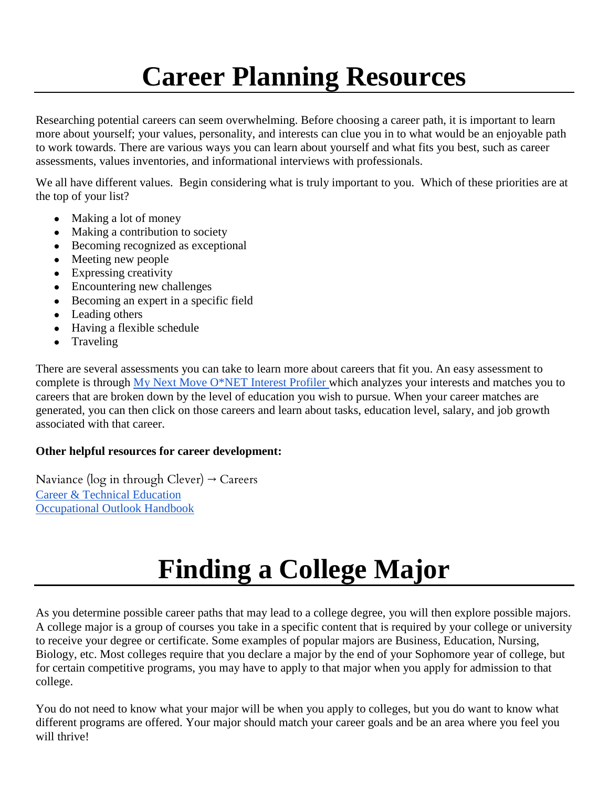## **Career Planning Resources**

Researching potential careers can seem overwhelming. Before choosing a career path, it is important to learn more about yourself; your values, personality, and interests can clue you in to what would be an enjoyable path to work towards. There are various ways you can learn about yourself and what fits you best, such as career assessments, values inventories, and informational interviews with professionals.

We all have different values. Begin considering what is truly important to you. Which of these priorities are at the top of your list?

- Making a lot of money
- Making a contribution to society
- Becoming recognized as exceptional
- Meeting new people
- Expressing creativity
- Encountering new challenges
- Becoming an expert in a specific field
- Leading others
- Having a flexible schedule
- Traveling

There are several assessments you can take to learn more about careers that fit you. An easy assessment to complete is through [My Next Move O\\*NET Interest Profiler w](https://www.mynextmove.org/explore/ip)hich analyzes your interests and matches you to careers that are broken down by the level of education you wish to pursue. When your career matches are generated, you can then click on those careers and learn about tasks, education level, salary, and job growth associated with that career.

## **Other helpful resources for career development:**

Naviance ( $log$  in through Clever)  $\rightarrow$  Careers [Career & Technical Education](https://careertech.org/career-clusters) [Occupational Outlook Handbook](https://www.bls.gov/ooh/)

## **Finding a College Major**

As you determine possible career paths that may lead to a college degree, you will then explore possible majors. A college major is a group of courses you take in a specific content that is required by your college or university to receive your degree or certificate. Some examples of popular majors are Business, Education, Nursing, Biology, etc. Most colleges require that you declare a major by the end of your Sophomore year of college, but for certain competitive programs, you may have to apply to that major when you apply for admission to that college.

You do not need to know what your major will be when you apply to colleges, but you do want to know what different programs are offered. Your major should match your career goals and be an area where you feel you will thrive!